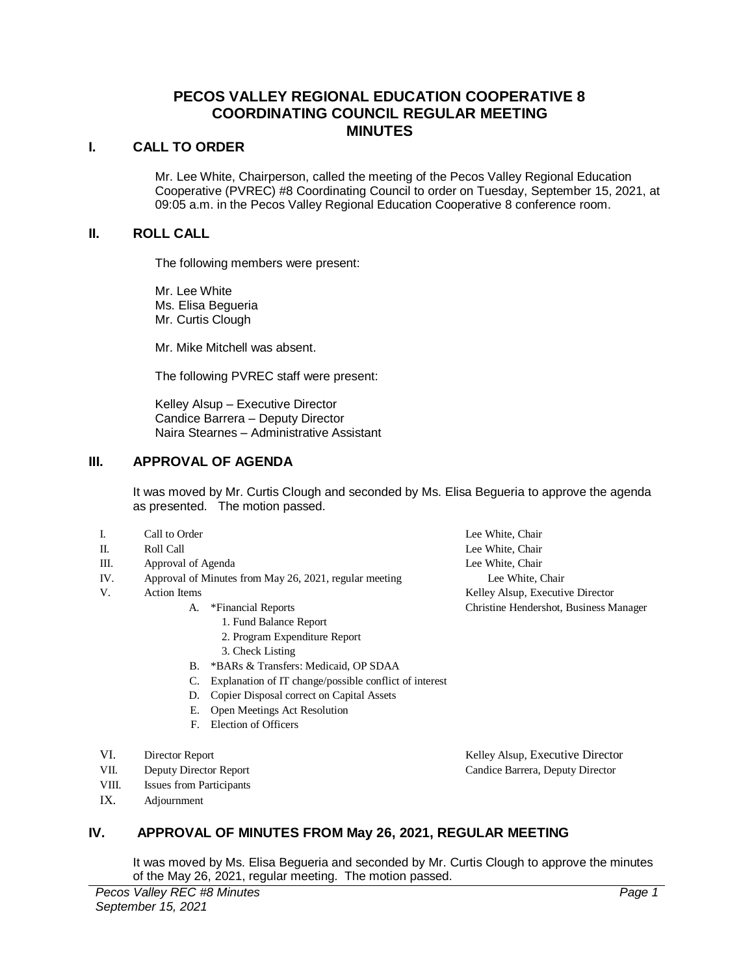# **PECOS VALLEY REGIONAL EDUCATION COOPERATIVE 8 COORDINATING COUNCIL REGULAR MEETING MINUTES**

#### **I. CALL TO ORDER**

Mr. Lee White, Chairperson, called the meeting of the Pecos Valley Regional Education Cooperative (PVREC) #8 Coordinating Council to order on Tuesday, September 15, 2021, at 09:05 a.m. in the Pecos Valley Regional Education Cooperative 8 conference room.

#### **II. ROLL CALL**

The following members were present:

Mr. Lee White Ms. Elisa Begueria Mr. Curtis Clough

Mr. Mike Mitchell was absent.

The following PVREC staff were present:

Kelley Alsup – Executive Director Candice Barrera – Deputy Director Naira Stearnes – Administrative Assistant

### **III. APPROVAL OF AGENDA**

It was moved by Mr. Curtis Clough and seconded by Ms. Elisa Begueria to approve the agenda as presented. The motion passed.

| I.  | Call to Order                                          |                                                        | Lee White, Chair                       |
|-----|--------------------------------------------------------|--------------------------------------------------------|----------------------------------------|
| П.  | Roll Call                                              |                                                        | Lee White, Chair                       |
| Ш.  | Approval of Agenda                                     |                                                        | Lee White, Chair                       |
| IV. | Approval of Minutes from May 26, 2021, regular meeting |                                                        | Lee White, Chair                       |
| V.  | <b>Action</b> Items                                    |                                                        | Kelley Alsup, Executive Director       |
|     | А.                                                     | *Financial Reports                                     | Christine Hendershot, Business Manager |
|     |                                                        | 1. Fund Balance Report                                 |                                        |
|     |                                                        | 2. Program Expenditure Report                          |                                        |
|     |                                                        | 3. Check Listing                                       |                                        |
|     | В.                                                     | *BARs & Transfers: Medicaid, OP SDAA                   |                                        |
|     | C.                                                     | Explanation of IT change/possible conflict of interest |                                        |
|     | D.                                                     | Copier Disposal correct on Capital Assets              |                                        |
|     | Е.                                                     | Open Meetings Act Resolution                           |                                        |
|     | F.                                                     | Election of Officers                                   |                                        |
|     |                                                        |                                                        |                                        |
|     |                                                        |                                                        |                                        |

- VI. Director Report **Contains a Container Container Container Also Executive Director** Report
- VII. Deputy Director Report Candice Barrera, Deputy Director
- VIII. Issues from Participants
- IX. Adjournment

## **IV. APPROVAL OF MINUTES FROM May 26, 2021, REGULAR MEETING**

It was moved by Ms. Elisa Begueria and seconded by Mr. Curtis Clough to approve the minutes of the May 26, 2021, regular meeting. The motion passed.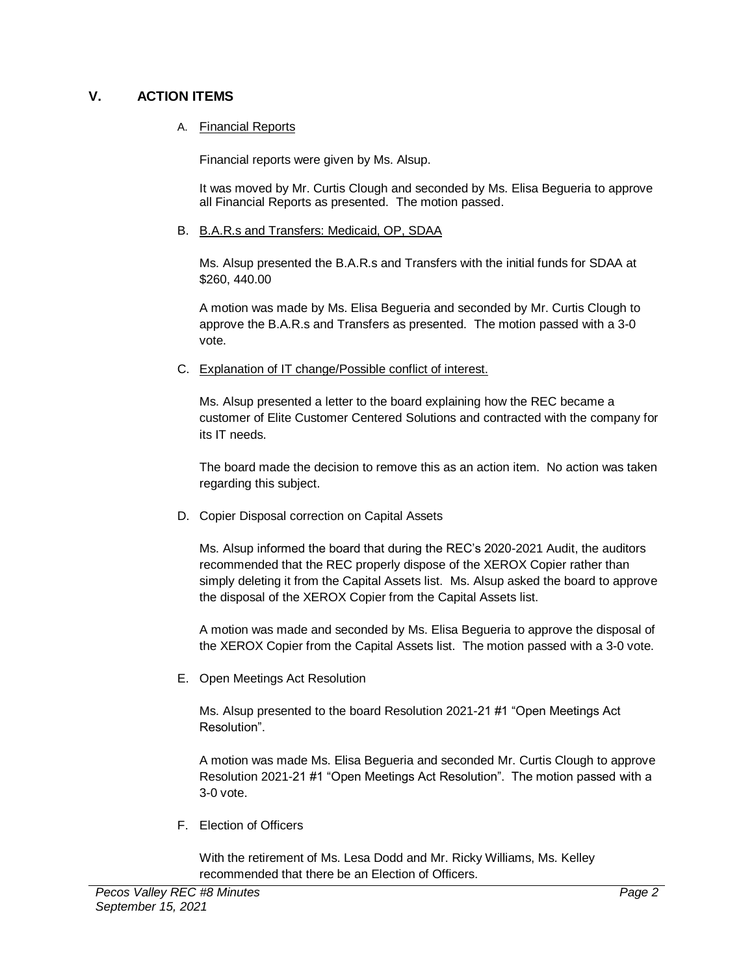# **V. ACTION ITEMS**

### A. Financial Reports

Financial reports were given by Ms. Alsup.

It was moved by Mr. Curtis Clough and seconded by Ms. Elisa Begueria to approve all Financial Reports as presented. The motion passed.

B. B.A.R.s and Transfers: Medicaid, OP, SDAA

Ms. Alsup presented the B.A.R.s and Transfers with the initial funds for SDAA at \$260, 440.00

A motion was made by Ms. Elisa Begueria and seconded by Mr. Curtis Clough to approve the B.A.R.s and Transfers as presented. The motion passed with a 3-0 vote.

C. Explanation of IT change/Possible conflict of interest.

Ms. Alsup presented a letter to the board explaining how the REC became a customer of Elite Customer Centered Solutions and contracted with the company for its IT needs.

The board made the decision to remove this as an action item. No action was taken regarding this subject.

D. Copier Disposal correction on Capital Assets

Ms. Alsup informed the board that during the REC's 2020-2021 Audit, the auditors recommended that the REC properly dispose of the XEROX Copier rather than simply deleting it from the Capital Assets list. Ms. Alsup asked the board to approve the disposal of the XEROX Copier from the Capital Assets list.

A motion was made and seconded by Ms. Elisa Begueria to approve the disposal of the XEROX Copier from the Capital Assets list. The motion passed with a 3-0 vote.

E. Open Meetings Act Resolution

Ms. Alsup presented to the board Resolution 2021-21 #1 "Open Meetings Act Resolution".

A motion was made Ms. Elisa Begueria and seconded Mr. Curtis Clough to approve Resolution 2021-21 #1 "Open Meetings Act Resolution". The motion passed with a 3-0 vote.

F. Election of Officers

With the retirement of Ms. Lesa Dodd and Mr. Ricky Williams, Ms. Kelley recommended that there be an Election of Officers.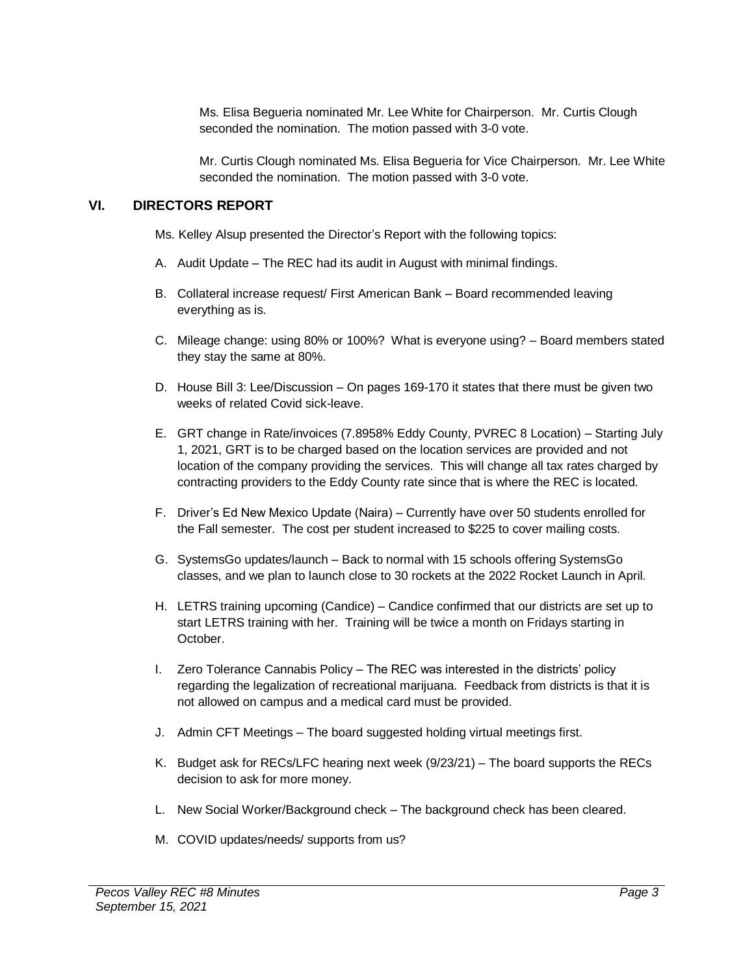Ms. Elisa Begueria nominated Mr. Lee White for Chairperson. Mr. Curtis Clough seconded the nomination. The motion passed with 3-0 vote.

Mr. Curtis Clough nominated Ms. Elisa Begueria for Vice Chairperson. Mr. Lee White seconded the nomination. The motion passed with 3-0 vote.

# **VI. DIRECTORS REPORT**

Ms. Kelley Alsup presented the Director's Report with the following topics:

- A. Audit Update The REC had its audit in August with minimal findings.
- B. Collateral increase request/ First American Bank Board recommended leaving everything as is.
- C. Mileage change: using 80% or 100%? What is everyone using? Board members stated they stay the same at 80%.
- D. House Bill 3: Lee/Discussion On pages 169-170 it states that there must be given two weeks of related Covid sick-leave.
- E. GRT change in Rate/invoices (7.8958% Eddy County, PVREC 8 Location) Starting July 1, 2021, GRT is to be charged based on the location services are provided and not location of the company providing the services. This will change all tax rates charged by contracting providers to the Eddy County rate since that is where the REC is located.
- F. Driver's Ed New Mexico Update (Naira) Currently have over 50 students enrolled for the Fall semester. The cost per student increased to \$225 to cover mailing costs.
- G. SystemsGo updates/launch Back to normal with 15 schools offering SystemsGo classes, and we plan to launch close to 30 rockets at the 2022 Rocket Launch in April.
- H. LETRS training upcoming (Candice) Candice confirmed that our districts are set up to start LETRS training with her. Training will be twice a month on Fridays starting in October.
- I. Zero Tolerance Cannabis Policy The REC was interested in the districts' policy regarding the legalization of recreational marijuana. Feedback from districts is that it is not allowed on campus and a medical card must be provided.
- J. Admin CFT Meetings The board suggested holding virtual meetings first.
- K. Budget ask for RECs/LFC hearing next week (9/23/21) The board supports the RECs decision to ask for more money.
- L. New Social Worker/Background check The background check has been cleared.
- M. COVID updates/needs/ supports from us?